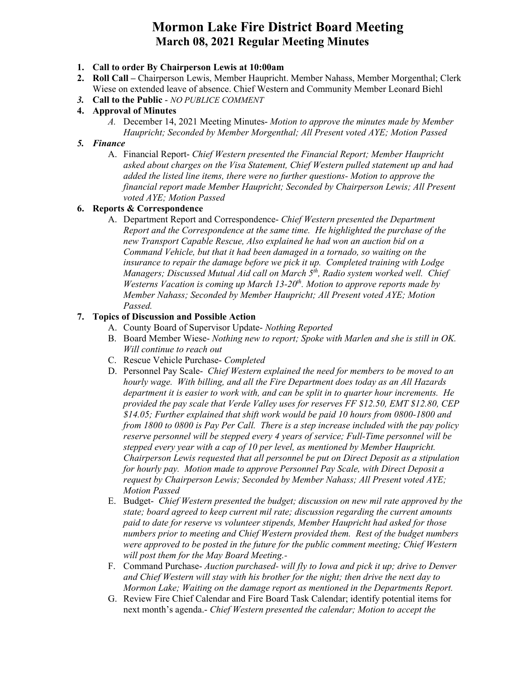## **Mormon Lake Fire District Board Meeting March 08, 2021 Regular Meeting Minutes**

### **1. Call to order By Chairperson Lewis at 10:00am**

- **2. Roll Call –** Chairperson Lewis, Member Haupricht. Member Nahass, Member Morgenthal; Clerk Wiese on extended leave of absence. Chief Western and Community Member Leonard Biehl
- *3.* **Call to the Public** ‐ *NO PUBLICE COMMENT*
- **4. Approval of Minutes** 
	- *A.* December 14, 2021 Meeting Minutes- *Motion to approve the minutes made by Member Haupricht; Seconded by Member Morgenthal; All Present voted AYE; Motion Passed*

### *5. Finance*

A. Financial Report- *Chief Western presented the Financial Report; Member Haupricht asked about charges on the Visa Statement, Chief Western pulled statement up and had added the listed line items, there were no further questions- Motion to approve the financial report made Member Haupricht; Seconded by Chairperson Lewis; All Present voted AYE; Motion Passed*

## **6. Reports & Correspondence**

A. Department Report and Correspondence- *Chief Western presented the Department Report and the Correspondence at the same time. He highlighted the purchase of the new Transport Capable Rescue, Also explained he had won an auction bid on a Command Vehicle, but that it had been damaged in a tornado, so waiting on the insurance to repair the damage before we pick it up. Completed training with Lodge Managers; Discussed Mutual Aid call on March 5<sup>th</sup>, Radio system worked well. Chief Westerns Vacation is coming up March 13-20<sup>th</sup>. Motion to approve reports made by Member Nahass; Seconded by Member Haupricht; All Present voted AYE; Motion Passed.*

## **7. Topics of Discussion and Possible Action**

- A. County Board of Supervisor Update- *Nothing Reported*
- B. Board Member Wiese- *Nothing new to report; Spoke with Marlen and she is still in OK. Will continue to reach out*
- C. Rescue Vehicle Purchase- *Completed*
- D. Personnel Pay Scale- *Chief Western explained the need for members to be moved to an hourly wage. With billing, and all the Fire Department does today as an All Hazards department it is easier to work with, and can be split in to quarter hour increments. He provided the pay scale that Verde Valley uses for reserves FF \$12.50, EMT \$12.80, CEP \$14.05; Further explained that shift work would be paid 10 hours from 0800-1800 and from 1800 to 0800 is Pay Per Call. There is a step increase included with the pay policy reserve personnel will be stepped every 4 years of service; Full-Time personnel will be stepped every year with a cap of 10 per level, as mentioned by Member Haupricht. Chairperson Lewis requested that all personnel be put on Direct Deposit as a stipulation for hourly pay. Motion made to approve Personnel Pay Scale, with Direct Deposit a request by Chairperson Lewis; Seconded by Member Nahass; All Present voted AYE; Motion Passed*
- E. Budget- *Chief Western presented the budget; discussion on new mil rate approved by the state; board agreed to keep current mil rate; discussion regarding the current amounts paid to date for reserve vs volunteer stipends, Member Haupricht had asked for those numbers prior to meeting and Chief Western provided them. Rest of the budget numbers were approved to be posted in the future for the public comment meeting; Chief Western will post them for the May Board Meeting.-*
- F. Command Purchase- *Auction purchased- will fly to Iowa and pick it up; drive to Denver and Chief Western will stay with his brother for the night; then drive the next day to Mormon Lake; Waiting on the damage report as mentioned in the Departments Report.*
- G. Review Fire Chief Calendar and Fire Board Task Calendar; identify potential items for next month's agenda.- *Chief Western presented the calendar; Motion to accept the*